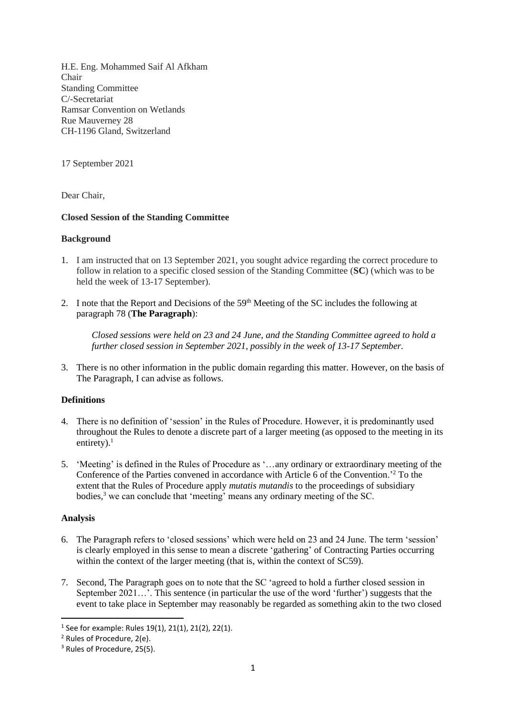H.E. Eng. Mohammed Saif Al Afkham Chair Standing Committee C/-Secretariat Ramsar Convention on Wetlands Rue Mauverney 28 CH-1196 Gland, Switzerland

17 September 2021

Dear Chair,

## **Closed Session of the Standing Committee**

### **Background**

- 1. I am instructed that on 13 September 2021, you sought advice regarding the correct procedure to follow in relation to a specific closed session of the Standing Committee (**SC**) (which was to be held the week of 13-17 September).
- 2. I note that the Report and Decisions of the  $59<sup>th</sup>$  Meeting of the SC includes the following at paragraph 78 (**The Paragraph**):

*Closed sessions were held on 23 and 24 June, and the Standing Committee agreed to hold a further closed session in September 2021, possibly in the week of 13-17 September.*

3. There is no other information in the public domain regarding this matter. However, on the basis of The Paragraph, I can advise as follows.

# **Definitions**

- 4. There is no definition of 'session' in the Rules of Procedure. However, it is predominantly used throughout the Rules to denote a discrete part of a larger meeting (as opposed to the meeting in its entirety). $<sup>1</sup>$ </sup>
- 5. 'Meeting' is defined in the Rules of Procedure as '…any ordinary or extraordinary meeting of the Conference of the Parties convened in accordance with Article 6 of the Convention.'<sup>2</sup> To the extent that the Rules of Procedure apply *mutatis mutandis* to the proceedings of subsidiary bodies,<sup>3</sup> we can conclude that 'meeting' means any ordinary meeting of the SC.

### **Analysis**

- 6. The Paragraph refers to 'closed sessions' which were held on 23 and 24 June. The term 'session' is clearly employed in this sense to mean a discrete 'gathering' of Contracting Parties occurring within the context of the larger meeting (that is, within the context of SC59).
- 7. Second, The Paragraph goes on to note that the SC 'agreed to hold a further closed session in September 2021…'. This sentence (in particular the use of the word 'further') suggests that the event to take place in September may reasonably be regarded as something akin to the two closed

<sup>1</sup> See for example: Rules 19(1), 21(1), 21(2), 22(1).

<sup>2</sup> Rules of Procedure, 2(e).

<sup>3</sup> Rules of Procedure, 25(5).